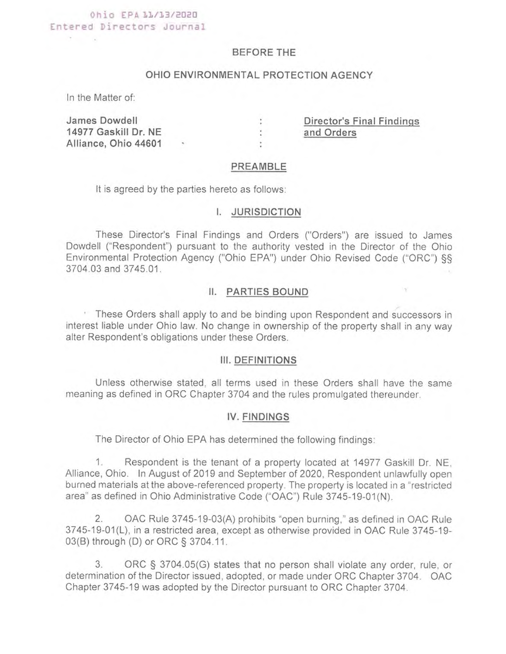# Ohio EPA 11/13/2020 Entered Directors Journal

## BEFORE THE

# OHIO ENVIRONMENTAL PROTECTION AGENCY

In the Matter of:

 $\frac{1}{2} \left( \frac{1}{2} \right) \left( \frac{1}{2} \right) = \frac{1}{2} \left( \frac{1}{2} \right)$ 

James Dowdell : Director's Final Findings 14977 Gaskill Dr. NE : the control of the Orders of the Orders of the Orders of the Orders of the Orders of the Orders of the Orders of the Orders of the Orders of the Orders of the Orders of the Orders of the Orders of th Alliance, Ohio 44601 • :

#### PREAMBLE

It is agreed by the parties hereto as follows:

#### I. JURISDICTION

These Director's Final Findings and Orders ("Orders") are issued to James Dowdell ("Respondent") pursuant to the authority vested in the Director of the Ohio Environmental Protection Agency ("Ohio EPA") under Ohio Revised Code ("ORC") §§ 3704.03 and 3745.01.

# 11. PARTIES BOUND

These Orders shall apply to and be binding upon Respondent and successors in interest liable under Ohio law. No change in ownership of the property shall in any way alter Respondent's obligations under these Orders.

## III. DEFINITIONS

Unless otherwise stated, all terms used in these Orders shall have the same meaning as defined in ORC Chapter 3704 and the rules promulgated thereunder.

#### IV. FINDINGS

The Director of Ohio EPA has determined the following findings:

1. Respondent is the tenant of a property located at 14977 Gaskill Dr. NE, Alliance, Ohio. In August of 2019 and September of 2020, Respondent unlawfully open burned materials at the above-referenced property. The property is located in a "restricted area" as defined in Ohio Administrative Code ("OAC") Rule 3745-19-01 (N).

2. OAC Rule 3745-19-03(A) prohibits "open burning," as defined in OAC Rule 3745-19-01(L), in a restricted area, except as otherwise provided in OAC Rule 3745-19- 03(B) through (D) or ORC § 3704.11.

3. ORC § 3704.05(G) states that no person shall violate any order, rule, or determination of the Director issued, adopted, or made under ORC Chapter 3704. OAC Chapter 3745-19 was adopted by the Director pursuant to ORC Chapter 3704.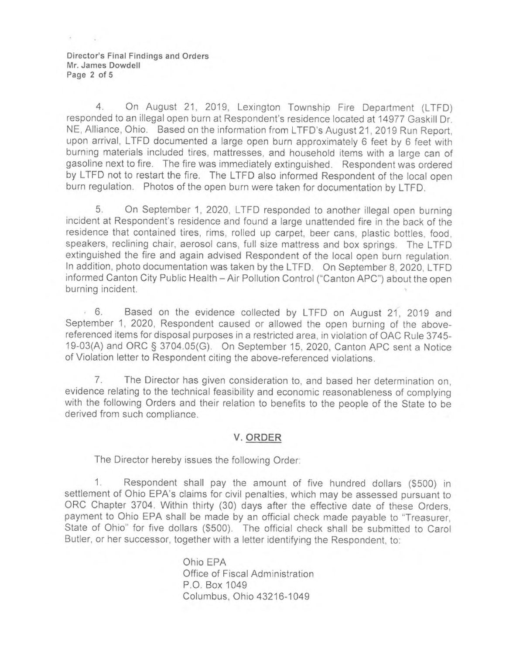**Director's Final Findings and Orders Mr. James Dowdell Page 2 of 5** 

4. On August 21, 2019, Lexington Township Fire Department (LTFD) responded to an illegal open burn at Respondent's residence located at 14977 Gaskill Dr. NE, Alliance, Ohio. Based on the information from LTFD's August 21, 2019 Run Report, upon arrival, LTFD documented a large open burn approximately 6 feet by 6 feet with burning materials included tires, mattresses, and household items with a large can of gasoline next to fire. The fire was immediately extinguished. Respondent was ordered by LTFD not to restart the fire. The LTFD also informed Respondent of the local open burn regulation. Photos of the open burn were taken for documentation by LTFD.

5. On September 1, 2020, LTFD responded to another illegal open burning incident at Respondent's residence and found a large unattended fire in the back of the residence that contained tires, rims, rolled up carpet, beer cans, plastic bottles, food, speakers, reclining chair, aerosol cans, full size mattress and box springs. The LTFD extinguished the fire and again advised Respondent of the local open burn regulation. In addition, photo documentation was taken by the LTFD. On September 8, 2020, LTFD informed Canton City Public Health - Air Pollution Control ("Canton APC") about the open burning incident.

6. Based on the evidence collected by LTFD on August 21, 2019 and September 1, 2020, Respondent caused or allowed the open burning of the abovereferenced items for disposal purposes in a restricted area, in violation of OAC Rule 3745- 19-03(A) and ORC § 3704.05(G). On September 15, 2020, Canton APC sent a Notice of Violation letter to Respondent citing the above-referenced violations.

7. The Director has given consideration to, and based her determination on, evidence relating to the technical feasibility and economic reasonableness of complying with the following Orders and their relation to benefits to the people of the State to be derived from such compliance.

# **V. ORDER**

The Director hereby issues the following Order:

1. Respondent shall pay the amount of five hundred dollars (\$500) in settlement of Ohio EPA's claims for civil penalties, which may be assessed pursuant to ORC Chapter 3704. Within thirty (30) days after the effective date of these Orders, payment to Ohio EPA shall be made by an official check made payable to "Treasurer, State of Ohio" for five dollars (\$500). The official check shall be submitted to Carol Butler, or her successor, together with a letter identifying the Respondent, to:

> Ohio EPA Office of Fiscal Administration P.O. Box 1049 Columbus, Ohio 43216-1049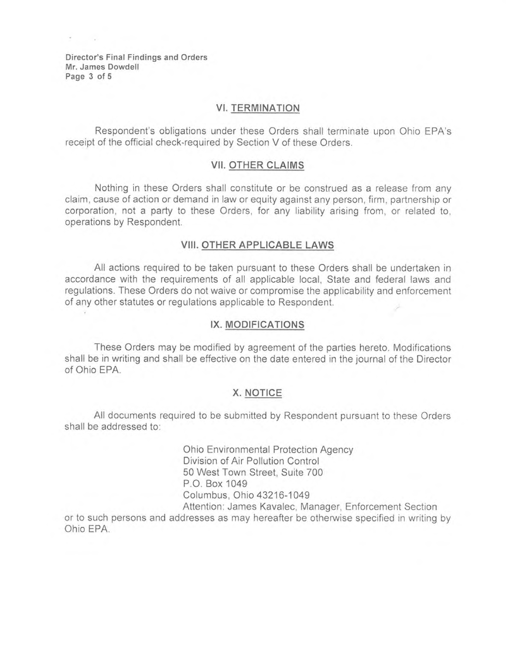**Director's Final Findings and Orders Mr. James Dowdell Page 3 of 5** 

## **VI. TERMINATION**

Respondent's obligations under these Orders shall terminate upon Ohio EPA's receipt of the official check•required by Section V of these Orders.

### **VII. OTHER CLAIMS**

Nothing in these Orders shall constitute or be construed as a release from any claim, cause of action or demand in law or equity against any person, firm, partnership or corporation, not a party to these Orders, for any liability arising from, or related to, operations by Respondent.

# **VIII. OTHER APPLICABLE LAWS**

AII actions required to be taken pursuant to these Orders shall be undertaken in accordance with the requirements of all applicable local, State and federal laws and regulations. These Orders do not waive or compromise the applicability and enforcement of any other statutes or regulations applicable to Respondent.

#### **IX. MODIFICATIONS**

These Orders may be modified by agreement of the parties hereto. Modifications shall be in writing and shall be effective on the date entered in the journal of the Director of Ohio EPA.

## **X. NOTICE**

All documents required to be submitted by Respondent pursuant to these Orders shall be addressed to:

> Ohio Environmental Protection Agency Division of Air Pollution Control 50 West Town Street, Suite 700 P.O. Box 1049 Columbus, Ohio 43216-1049 Attention: James Kavalec, Manager, Enforcement Section

or to such persons and addresses as may hereafter be otherwise specified in writing by Ohio EPA.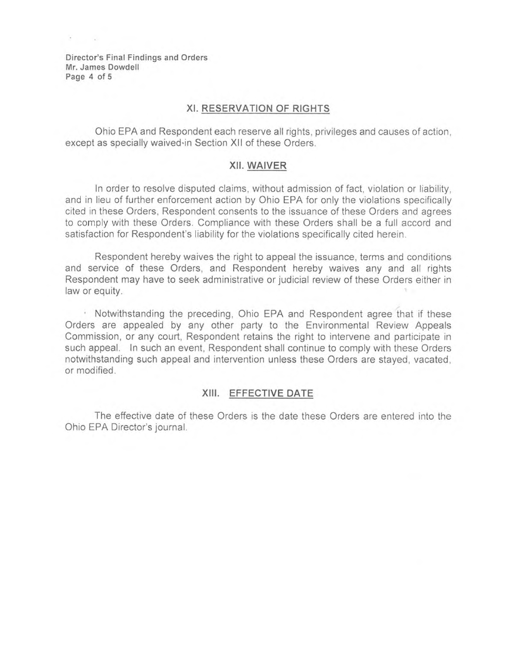Director's **Final Findings and Orders Mr. James Dowdell Page 4 of** 5

# **XI. RESERVATION OF RIGHTS**

Ohio EPA and Respondent each reserve all rights, privileges and causes of action, except as specially waived•in Section XII of these Orders.

### **XII. WAIVER**

In order to resolve disputed claims, without admission of fact, violation or liability, and in lieu of further enforcement action by Ohio EPA for only the violations specifically cited in these Orders, Respondent consents to the issuance of these Orders and agrees to comply with these Orders. Compliance with these Orders shall be a full accord and satisfaction for Respondent's liability for the violations specifically cited herein.

Respondent hereby waives the right to appeal the issuance, terms and conditions and service of these Orders, and Respondent hereby waives any and all rights Respondent may have to seek administrative or judicial review of these Orders either in law or equity.

Notwithstanding the preceding, Ohio EPA and Respondent agree that if these Orders are appealed by any other party to the Environmental Review Appeals Commission, or any court, Respondent retains the right to intervene and participate in such appeal. In such an event, Respondent shall continue to comply with these Orders notwithstanding such appeal and intervention unless these Orders are stayed, vacated, or modified.

### **XIII. EFFECTIVE DATE**

The effective date of these Orders is the date these Orders are entered into the Ohio EPA Director's journal.